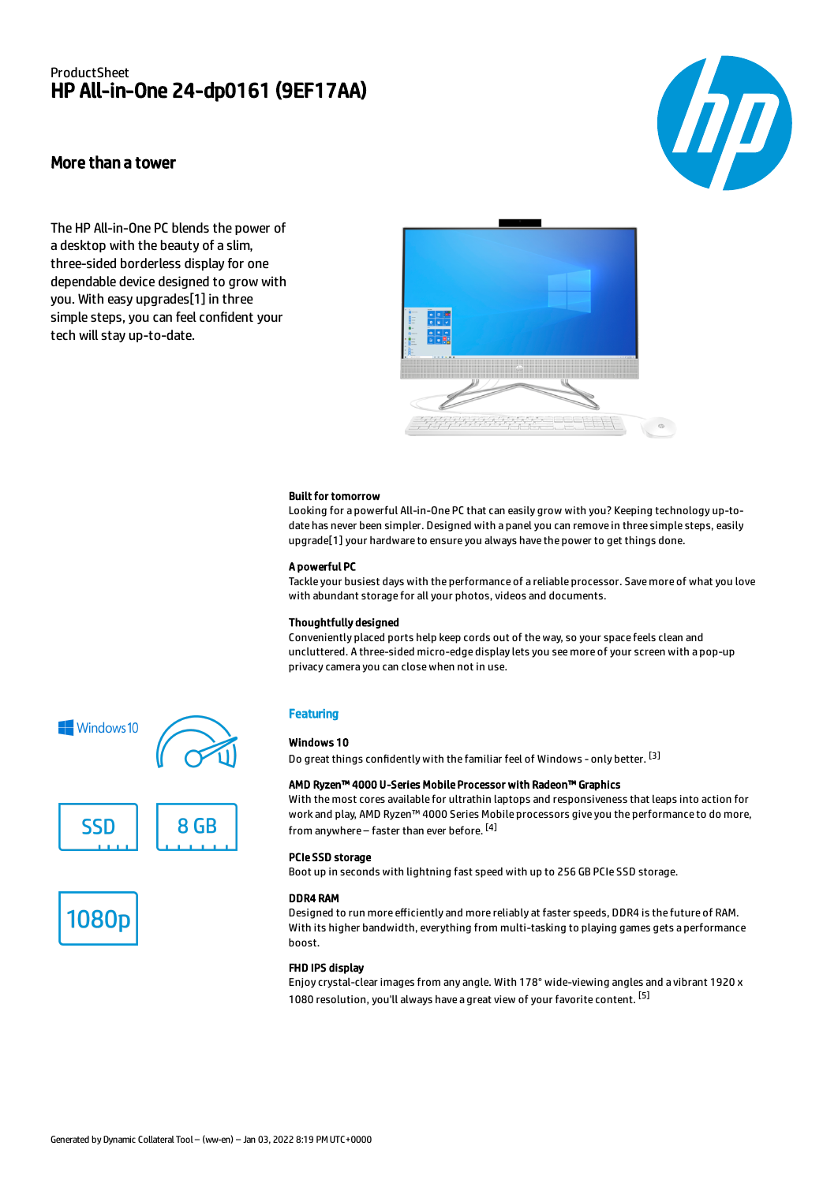## ProductSheet HP All-in-One 24-dp0161 (9EF17AA)

# hp)

### More than a tower

The HP All-in-One PC blends the power of a desktop with the beauty of a slim, three-sided borderless display for one dependable device designed to grow with you. With easy upgrades[1] in three simple steps, you can feel confident your tech will stay up-to-date.



#### Built for tomorrow

Looking for a powerful All-in-One PC that can easily grow with you? Keeping technology up-todate has never been simpler. Designed with a panel you can remove in three simple steps, easily upgrade[1] your hardware to ensure you always have the power to get things done.

#### A powerful PC

Tackle your busiest days with the performance of a reliable processor. Save more of what you love with abundant storage for all your photos, videos and documents.

#### Thoughtfully designed

Conveniently placed ports help keep cords out of the way, so your space feels clean and uncluttered. A three-sided micro-edge display lets you see more of your screen with a pop-up privacy camera you can close when not in use.

#### **Featuring**

#### Windows 10

Do great things confidently with the familiar feel of Windows - only better. <sup>[3]</sup>

#### AMD Ryzen™ 4000 U-Series Mobile Processor with Radeon™ Graphics

With the most cores available for ultrathin laptops and responsiveness that leaps into action for work and play, AMD Ryzen™ 4000 Series Mobile processors give you the performance to do more, from anywhere – faster than ever before. <sup>[4]</sup>

#### PCIe SSD storage

Boot up in seconds with lightning fast speed with up to 256 GB PCIe SSD storage.

#### DDR4 RAM

Designed to run more efficiently and more reliably at faster speeds, DDR4 is the future of RAM. With its higher bandwidth, everything from multi-tasking to playing games gets a performance boost.

#### FHD IPS display

Enjoy crystal-clear images from any angle. With 178° wide-viewing angles and a vibrant 1920 x 1080 resolution, you'll always have a great view of your favorite content. <sup>[5]</sup>





**SSD** 



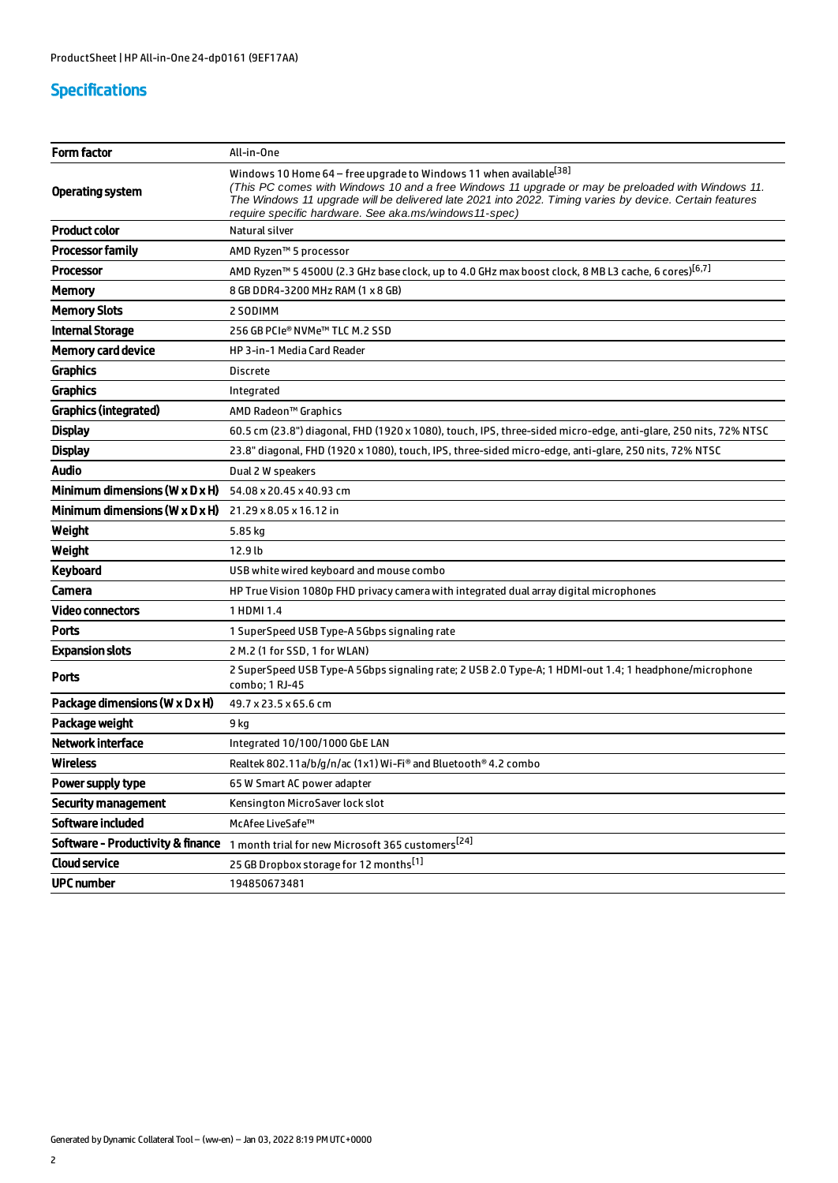## Specifications

| <b>Form factor</b>                           | All-in-One                                                                                                                                                                                                                                                                                                                                              |  |
|----------------------------------------------|---------------------------------------------------------------------------------------------------------------------------------------------------------------------------------------------------------------------------------------------------------------------------------------------------------------------------------------------------------|--|
| Operating system                             | Windows 10 Home 64 - free upgrade to Windows 11 when available <sup>[38]</sup><br>(This PC comes with Windows 10 and a free Windows 11 upgrade or may be preloaded with Windows 11.<br>The Windows 11 upgrade will be delivered late 2021 into 2022. Timing varies by device. Certain features<br>require specific hardware. See aka.ms/windows11-spec) |  |
| <b>Product color</b>                         | Natural silver                                                                                                                                                                                                                                                                                                                                          |  |
| <b>Processor family</b>                      | AMD Ryzen™ 5 processor                                                                                                                                                                                                                                                                                                                                  |  |
| <b>Processor</b>                             | AMD Ryzen™ 5 4500U (2.3 GHz base clock, up to 4.0 GHz max boost clock, 8 MB L3 cache, 6 cores) <sup>[6,7]</sup>                                                                                                                                                                                                                                         |  |
| Memory                                       | 8 GB DDR4-3200 MHz RAM (1 x 8 GB)                                                                                                                                                                                                                                                                                                                       |  |
| <b>Memory Slots</b>                          | 2 SODIMM                                                                                                                                                                                                                                                                                                                                                |  |
| <b>Internal Storage</b>                      | 256 GB PCIe® NVMe™ TLC M.2 SSD                                                                                                                                                                                                                                                                                                                          |  |
| <b>Memory card device</b>                    | HP 3-in-1 Media Card Reader                                                                                                                                                                                                                                                                                                                             |  |
| <b>Graphics</b>                              | <b>Discrete</b>                                                                                                                                                                                                                                                                                                                                         |  |
| <b>Graphics</b>                              | Integrated                                                                                                                                                                                                                                                                                                                                              |  |
| <b>Graphics (integrated)</b>                 | AMD Radeon™ Graphics                                                                                                                                                                                                                                                                                                                                    |  |
| <b>Display</b>                               | 60.5 cm (23.8") diagonal, FHD (1920 x 1080), touch, IPS, three-sided micro-edge, anti-glare, 250 nits, 72% NTSC                                                                                                                                                                                                                                         |  |
| <b>Display</b>                               | 23.8" diagonal, FHD (1920 x 1080), touch, IPS, three-sided micro-edge, anti-glare, 250 nits, 72% NTSC                                                                                                                                                                                                                                                   |  |
| <b>Audio</b>                                 | Dual 2 W speakers                                                                                                                                                                                                                                                                                                                                       |  |
| Minimum dimensions ( $W \times D \times H$ ) | 54.08 x 20.45 x 40.93 cm                                                                                                                                                                                                                                                                                                                                |  |
| Minimum dimensions ( $W \times D \times H$ ) | 21.29 x 8.05 x 16.12 in                                                                                                                                                                                                                                                                                                                                 |  |
| Weight                                       | 5.85 kg                                                                                                                                                                                                                                                                                                                                                 |  |
|                                              |                                                                                                                                                                                                                                                                                                                                                         |  |
| Weight                                       | 12.9 lb                                                                                                                                                                                                                                                                                                                                                 |  |
| Keyboard                                     | USB white wired keyboard and mouse combo                                                                                                                                                                                                                                                                                                                |  |
| Camera                                       | HP True Vision 1080p FHD privacy camera with integrated dual array digital microphones                                                                                                                                                                                                                                                                  |  |
| Video connectors                             | 1 HDMI 1.4                                                                                                                                                                                                                                                                                                                                              |  |
| Ports                                        | 1 SuperSpeed USB Type-A 5Gbps signaling rate                                                                                                                                                                                                                                                                                                            |  |
| <b>Expansion slots</b>                       | 2 M.2 (1 for SSD, 1 for WLAN)                                                                                                                                                                                                                                                                                                                           |  |
| Ports                                        | 2 SuperSpeed USB Type-A 5Gbps signaling rate; 2 USB 2.0 Type-A; 1 HDMI-out 1.4; 1 headphone/microphone<br>combo; 1 RJ-45                                                                                                                                                                                                                                |  |
| Package dimensions (W x D x H)               | 49.7 x 23.5 x 65.6 cm                                                                                                                                                                                                                                                                                                                                   |  |
| Package weight                               | 9 kg                                                                                                                                                                                                                                                                                                                                                    |  |
| <b>Network interface</b>                     | Integrated 10/100/1000 GbE LAN                                                                                                                                                                                                                                                                                                                          |  |
| Wireless                                     | Realtek 802.11a/b/g/n/ac (1x1) Wi-Fi® and Bluetooth® 4.2 combo                                                                                                                                                                                                                                                                                          |  |
| Power supply type                            | 65 W Smart AC power adapter                                                                                                                                                                                                                                                                                                                             |  |
| <b>Security management</b>                   | Kensington MicroSaver lock slot                                                                                                                                                                                                                                                                                                                         |  |
| Software included                            | McAfee LiveSafe™                                                                                                                                                                                                                                                                                                                                        |  |
| <b>Software - Productivity &amp; finance</b> | 1 month trial for new Microsoft 365 customers <sup>[24]</sup>                                                                                                                                                                                                                                                                                           |  |
| <b>Cloud service</b>                         | 25 GB Dropbox storage for 12 months[1]                                                                                                                                                                                                                                                                                                                  |  |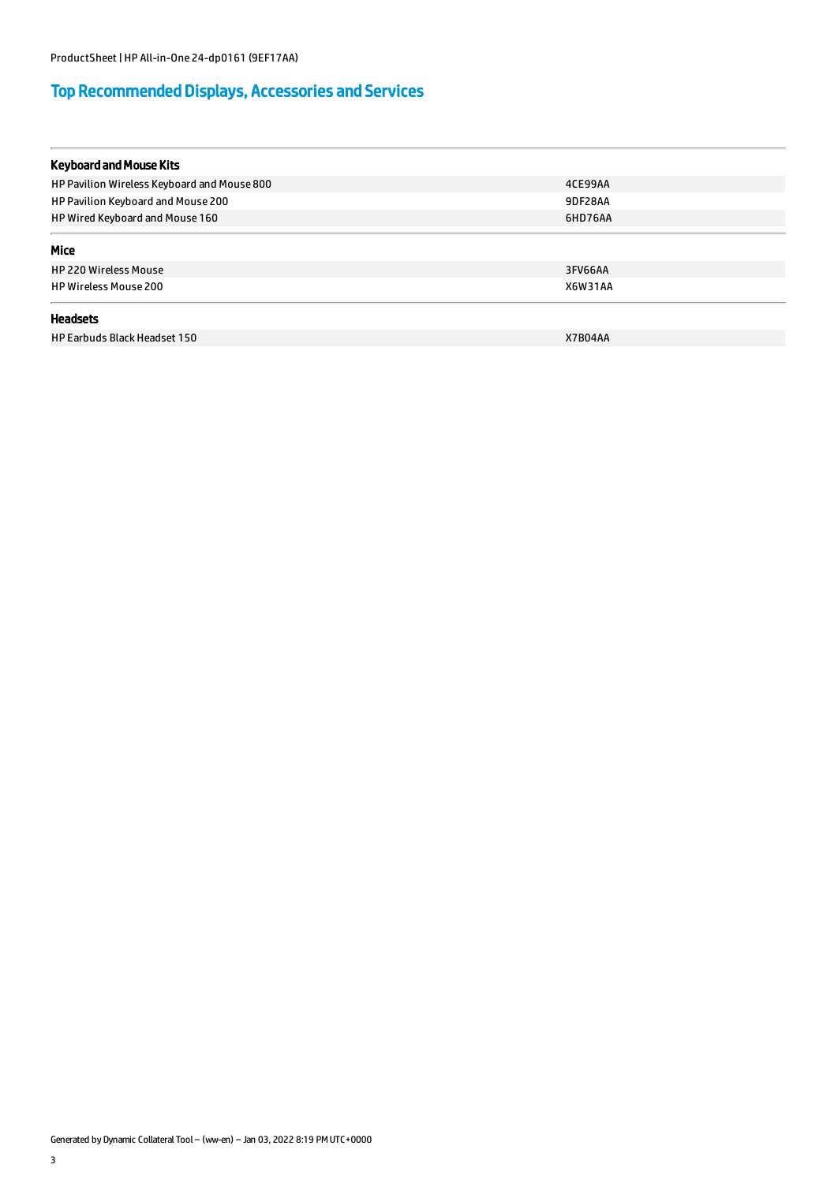# Top Recommended Displays, Accessories and Services

| <b>Keyboard and Mouse Kits</b>              |                |  |
|---------------------------------------------|----------------|--|
| HP Pavilion Wireless Keyboard and Mouse 800 | 4CE99AA        |  |
| HP Pavilion Keyboard and Mouse 200          | 9DF28AA        |  |
| HP Wired Keyboard and Mouse 160             | 6HD76AA        |  |
| Mice                                        |                |  |
| <b>HP 220 Wireless Mouse</b>                | 3FV66AA        |  |
| <b>HP Wireless Mouse 200</b>                | <b>X6W31AA</b> |  |
| <b>Headsets</b>                             |                |  |
| HP Earbuds Black Headset 150                | X7B04AA        |  |

Generated by Dynamic Collateral Tool – (ww-en) – Jan 03, 2022 8:19 PM UTC+0000